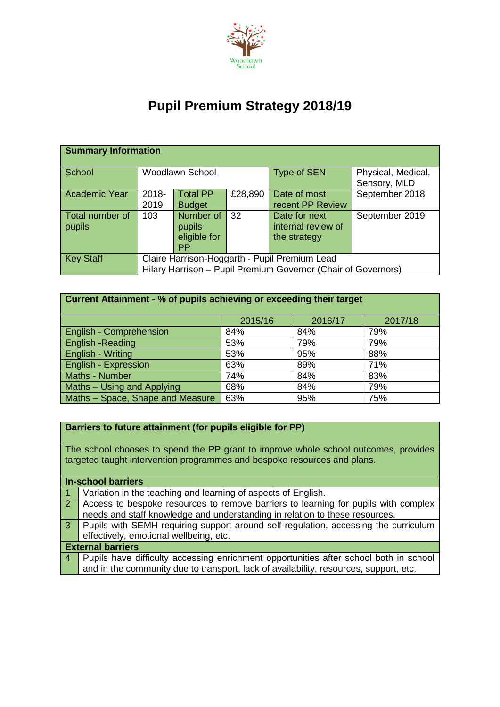

## **Pupil Premium Strategy 2018/19**

| <b>Summary Information</b> |                                                               |                        |         |                    |                                    |  |  |  |  |
|----------------------------|---------------------------------------------------------------|------------------------|---------|--------------------|------------------------------------|--|--|--|--|
| School                     |                                                               | <b>Woodlawn School</b> |         | <b>Type of SEN</b> | Physical, Medical,<br>Sensory, MLD |  |  |  |  |
| <b>Academic Year</b>       | 2018-                                                         | <b>Total PP</b>        | £28,890 | Date of most       | September 2018                     |  |  |  |  |
|                            | 2019                                                          | <b>Budget</b>          |         | recent PP Review   |                                    |  |  |  |  |
| Total number of            | 103                                                           | Number of              | -32     | Date for next      | September 2019                     |  |  |  |  |
| pupils                     |                                                               | pupils                 |         | internal review of |                                    |  |  |  |  |
|                            |                                                               | eligible for           |         | the strategy       |                                    |  |  |  |  |
|                            |                                                               | <b>PP</b>              |         |                    |                                    |  |  |  |  |
| <b>Key Staff</b>           | Claire Harrison-Hoggarth - Pupil Premium Lead                 |                        |         |                    |                                    |  |  |  |  |
|                            | Hilary Harrison - Pupil Premium Governor (Chair of Governors) |                        |         |                    |                                    |  |  |  |  |

| Current Attainment - % of pupils achieving or exceeding their target |         |         |         |  |  |  |
|----------------------------------------------------------------------|---------|---------|---------|--|--|--|
|                                                                      | 2015/16 | 2016/17 | 2017/18 |  |  |  |
| <b>English - Comprehension</b>                                       | 84%     | 84%     | 79%     |  |  |  |
| <b>English -Reading</b>                                              | 53%     | 79%     | 79%     |  |  |  |
| <b>English - Writing</b>                                             | 53%     | 95%     | 88%     |  |  |  |
| <b>English - Expression</b>                                          | 63%     | 89%     | 71%     |  |  |  |
| Maths - Number                                                       | 74%     | 84%     | 83%     |  |  |  |
| Maths - Using and Applying                                           | 68%     | 84%     | 79%     |  |  |  |
| Maths - Space, Shape and Measure                                     | 63%     | 95%     | 75%     |  |  |  |

## **Barriers to future attainment (for pupils eligible for PP)**

The school chooses to spend the PP grant to improve whole school outcomes, provides targeted taught intervention programmes and bespoke resources and plans.

| <b>In-school barriers</b> |                                                                                       |  |  |  |
|---------------------------|---------------------------------------------------------------------------------------|--|--|--|
|                           | Variation in the teaching and learning of aspects of English.                         |  |  |  |
| <sup>2</sup>              | Access to bespoke resources to remove barriers to learning for pupils with complex    |  |  |  |
|                           | needs and staff knowledge and understanding in relation to these resources.           |  |  |  |
| 3 <sup>1</sup>            | Pupils with SEMH requiring support around self-regulation, accessing the curriculum   |  |  |  |
|                           | effectively, emotional wellbeing, etc.                                                |  |  |  |
| <b>External barriers</b>  |                                                                                       |  |  |  |
| $\overline{4}$            | Pupils have difficulty accessing enrichment opportunities after school both in school |  |  |  |
|                           | and in the community due to transport, lack of availability, resources, support, etc. |  |  |  |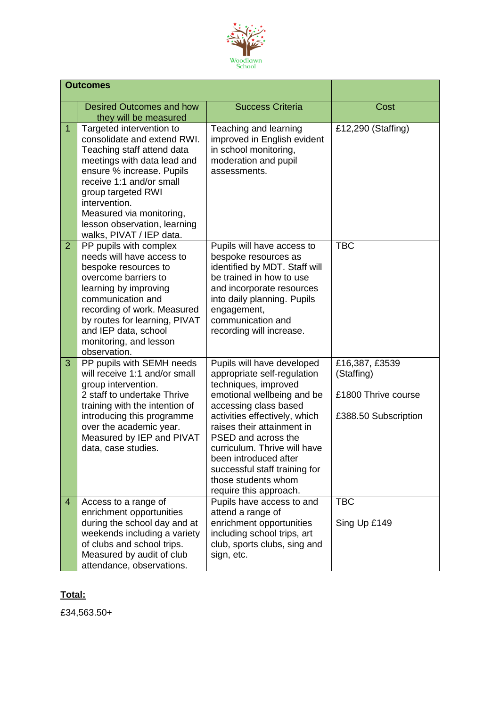

|                | <b>Outcomes</b>                                                                                                                                                                                                                                                                                              |                                                                                                                                                                                                                                                                                                                                                                           |                                                                             |
|----------------|--------------------------------------------------------------------------------------------------------------------------------------------------------------------------------------------------------------------------------------------------------------------------------------------------------------|---------------------------------------------------------------------------------------------------------------------------------------------------------------------------------------------------------------------------------------------------------------------------------------------------------------------------------------------------------------------------|-----------------------------------------------------------------------------|
|                | <b>Desired Outcomes and how</b><br>they will be measured                                                                                                                                                                                                                                                     | <b>Success Criteria</b>                                                                                                                                                                                                                                                                                                                                                   | Cost                                                                        |
| $\overline{1}$ | Targeted intervention to<br>consolidate and extend RWI.<br>Teaching staff attend data<br>meetings with data lead and<br>ensure % increase. Pupils<br>receive 1:1 and/or small<br>group targeted RWI<br>intervention.<br>Measured via monitoring,<br>lesson observation, learning<br>walks, PIVAT / IEP data. | Teaching and learning<br>improved in English evident<br>in school monitoring,<br>moderation and pupil<br>assessments.                                                                                                                                                                                                                                                     | £12,290 (Staffing)                                                          |
| $\overline{2}$ | PP pupils with complex<br>needs will have access to<br>bespoke resources to<br>overcome barriers to<br>learning by improving<br>communication and<br>recording of work. Measured<br>by routes for learning, PIVAT<br>and IEP data, school<br>monitoring, and lesson<br>observation.                          | Pupils will have access to<br>bespoke resources as<br>identified by MDT. Staff will<br>be trained in how to use<br>and incorporate resources<br>into daily planning. Pupils<br>engagement,<br>communication and<br>recording will increase.                                                                                                                               | <b>TBC</b>                                                                  |
| 3              | PP pupils with SEMH needs<br>will receive 1:1 and/or small<br>group intervention.<br>2 staff to undertake Thrive<br>training with the intention of<br>introducing this programme<br>over the academic year.<br>Measured by IEP and PIVAT<br>data, case studies.                                              | Pupils will have developed<br>appropriate self-regulation<br>techniques, improved<br>emotional wellbeing and be<br>accessing class based<br>activities effectively, which<br>raises their attainment in<br>PSED and across the<br>curriculum. Thrive will have<br>been introduced after<br>successful staff training for<br>those students whom<br>require this approach. | £16,387, £3539<br>(Staffing)<br>£1800 Thrive course<br>£388.50 Subscription |
| $\overline{4}$ | Access to a range of<br>enrichment opportunities<br>during the school day and at<br>weekends including a variety<br>of clubs and school trips.<br>Measured by audit of club<br>attendance, observations.                                                                                                     | Pupils have access to and<br>attend a range of<br>enrichment opportunities<br>including school trips, art<br>club, sports clubs, sing and<br>sign, etc.                                                                                                                                                                                                                   | <b>TBC</b><br>Sing Up £149                                                  |

## **Total:**

£34,563.50+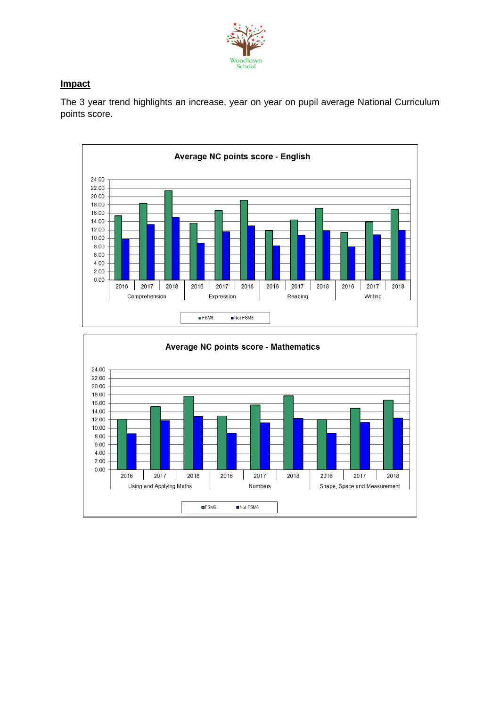

## **Impact**

The 3 year trend highlights an increase, year on year on pupil average National Curriculum points score.